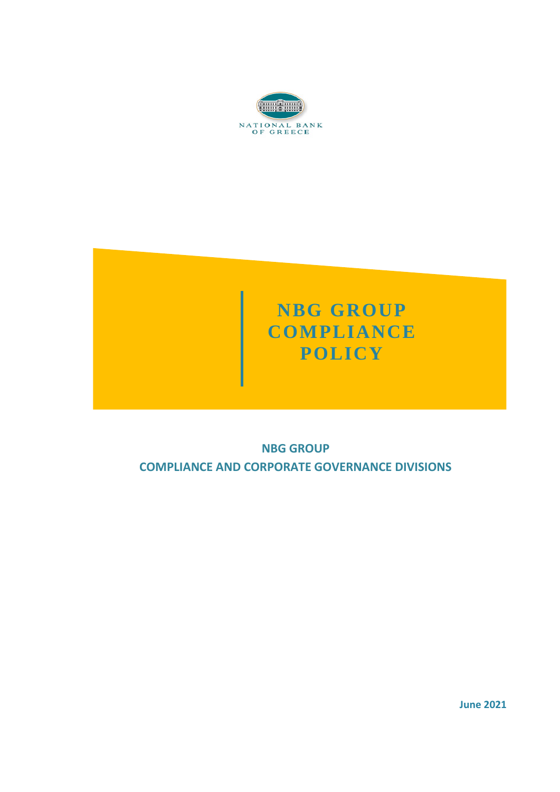



# **NBG GROUP COMPLIANCE AND CORPORATE GOVERNANCE DIVISIONS**

**June 2021**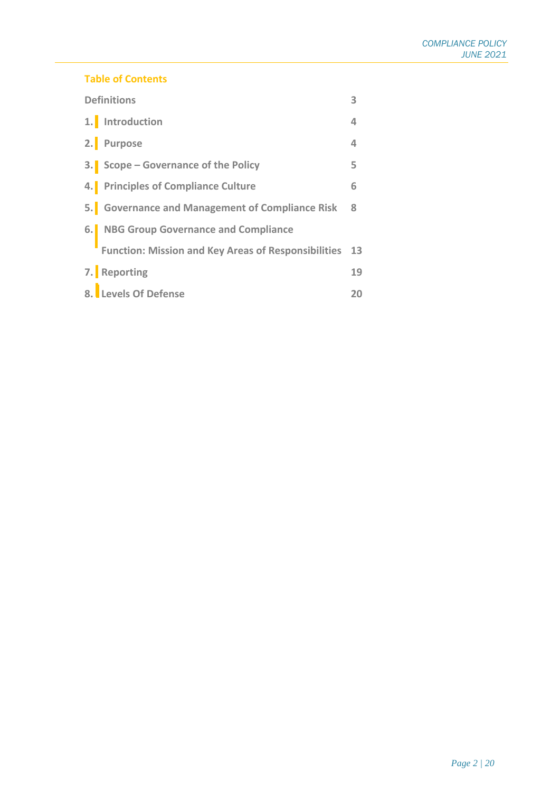#### **Table of Contents**

| <b>Definitions</b> |                                                        |              |
|--------------------|--------------------------------------------------------|--------------|
|                    | 1. Introduction                                        | 4            |
|                    | 2. Purpose                                             | 4            |
|                    | 3. Scope – Governance of the Policy                    | 5            |
|                    | 4. Principles of Compliance Culture                    | 6            |
|                    | 5. Governance and Management of Compliance Risk        | $\mathbf{R}$ |
|                    | 6. NBG Group Governance and Compliance                 |              |
|                    | Function: Mission and Key Areas of Responsibilities 13 |              |
|                    | 7. Reporting                                           | 19           |
|                    | 8. Levels Of Defense                                   | 20           |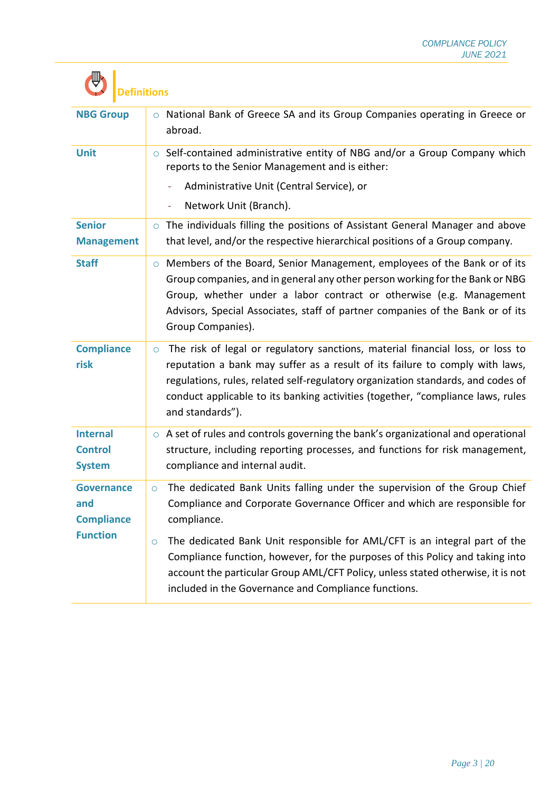| <b>NBG Group</b>                                   | o National Bank of Greece SA and its Group Companies operating in Greece or<br>abroad.                                                                                                                                                                                                                                                                               |  |  |
|----------------------------------------------------|----------------------------------------------------------------------------------------------------------------------------------------------------------------------------------------------------------------------------------------------------------------------------------------------------------------------------------------------------------------------|--|--|
| <b>Unit</b>                                        | ○ Self-contained administrative entity of NBG and/or a Group Company which<br>reports to the Senior Management and is either:                                                                                                                                                                                                                                        |  |  |
|                                                    | Administrative Unit (Central Service), or                                                                                                                                                                                                                                                                                                                            |  |  |
|                                                    | Network Unit (Branch).<br>÷                                                                                                                                                                                                                                                                                                                                          |  |  |
| <b>Senior</b><br><b>Management</b>                 | o The individuals filling the positions of Assistant General Manager and above<br>that level, and/or the respective hierarchical positions of a Group company.                                                                                                                                                                                                       |  |  |
| <b>Staff</b>                                       | ○ Members of the Board, Senior Management, employees of the Bank or of its<br>Group companies, and in general any other person working for the Bank or NBG<br>Group, whether under a labor contract or otherwise (e.g. Management<br>Advisors, Special Associates, staff of partner companies of the Bank or of its<br>Group Companies).                             |  |  |
| <b>Compliance</b><br>risk                          | The risk of legal or regulatory sanctions, material financial loss, or loss to<br>$\circ$<br>reputation a bank may suffer as a result of its failure to comply with laws,<br>regulations, rules, related self-regulatory organization standards, and codes of<br>conduct applicable to its banking activities (together, "compliance laws, rules<br>and standards"). |  |  |
| <b>Internal</b><br><b>Control</b><br><b>System</b> | $\circ$ A set of rules and controls governing the bank's organizational and operational<br>structure, including reporting processes, and functions for risk management,<br>compliance and internal audit.                                                                                                                                                            |  |  |
| <b>Governance</b><br>and<br><b>Compliance</b>      | The dedicated Bank Units falling under the supervision of the Group Chief<br>Compliance and Corporate Governance Officer and which are responsible for<br>compliance.                                                                                                                                                                                                |  |  |
| <b>Function</b>                                    | The dedicated Bank Unit responsible for AML/CFT is an integral part of the<br>O<br>Compliance function, however, for the purposes of this Policy and taking into<br>account the particular Group AML/CFT Policy, unless stated otherwise, it is not<br>included in the Governance and Compliance functions.                                                          |  |  |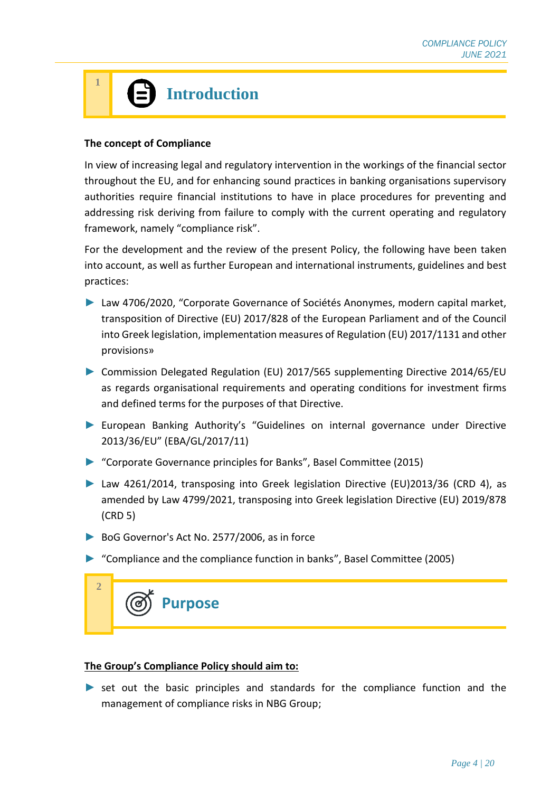# **Introduction**

#### **The concept of Compliance**

**1**

In view of increasing legal and regulatory intervention in the workings of the financial sector throughout the EU, and for enhancing sound practices in banking organisations supervisory authorities require financial institutions to have in place procedures for preventing and addressing risk deriving from failure to comply with the current operating and regulatory framework, namely "compliance risk".

For the development and the review of the present Policy, the following have been taken into account, as well as further European and international instruments, guidelines and best practices:

- ► Law 4706/2020, "Corporate Governance of Sociétés Anonymes, modern capital market, transposition of Directive (EU) 2017/828 of the European Parliament and of the Council into Greek legislation, implementation measures of Regulation (EU) 2017/1131 and other provisions»
- ► Commission Delegated Regulation (EU) 2017/565 supplementing Directive 2014/65/EU as regards organisational requirements and operating conditions for investment firms and defined terms for the purposes of that Directive.
- ► European Banking Authority's "Guidelines on internal governance under Directive 2013/36/EU" (EBA/GL/2017/11)
- ► "Corporate Governance principles for Banks", Basel Committee (2015)
- ► Law 4261/2014, transposing into Greek legislation Directive (EU)2013/36 (CRD 4), as amended by Law 4799/2021, transposing into Greek legislation Directive (EU) 2019/878 (CRD 5)
- ► BoG Governor's Act No. 2577/2006, as in force
- ► "Compliance and the compliance function in banks", Basel Committee (2005)



#### **The Group's Compliance Policy should aim to:**

► set out the basic principles and standards for the compliance function and the management of compliance risks in NBG Group;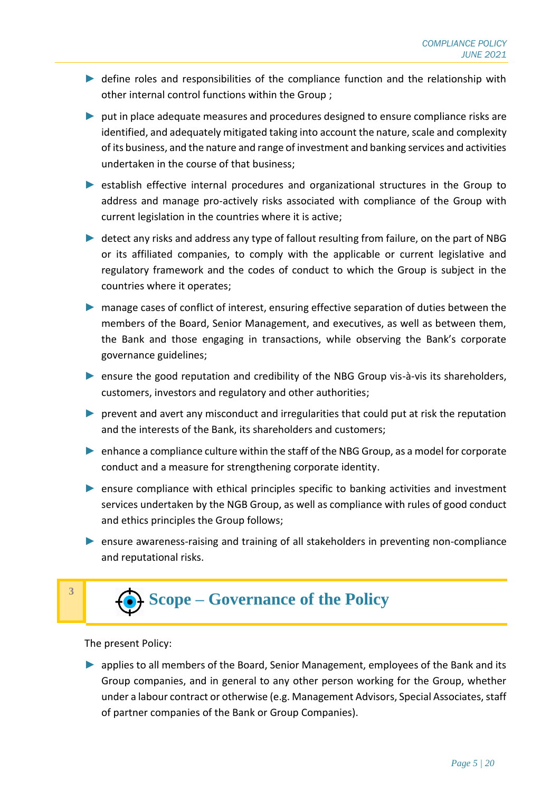- ► define roles and responsibilities of the compliance function and the relationship with other internal control functions within the Group ;
- ► put in place adequate measures and procedures designed to ensure compliance risks are identified, and adequately mitigated taking into account the nature, scale and complexity of its business, and the nature and range of investment and banking services and activities undertaken in the course of that business;
- ► establish effective internal procedures and organizational structures in the Group to address and manage pro-actively risks associated with compliance of the Group with current legislation in the countries where it is active;
- ► detect any risks and address any type of fallout resulting from failure, on the part of NBG or its affiliated companies, to comply with the applicable or current legislative and regulatory framework and the codes of conduct to which the Group is subject in the countries where it operates;
- ► manage cases of conflict of interest, ensuring effective separation of duties between the members of the Board, Senior Management, and executives, as well as between them, the Bank and those engaging in transactions, while observing the Bank's corporate governance guidelines;
- ► ensure the good reputation and credibility of the NBG Group vis-à-vis its shareholders, customers, investors and regulatory and other authorities;
- ► prevent and avert any misconduct and irregularities that could put at risk the reputation and the interests of the Bank, its shareholders and customers;
- ► enhance a compliance culture within the staff of the NBG Group, as a model for corporate conduct and a measure for strengthening corporate identity.
- ► ensure compliance with ethical principles specific to banking activities and investment services undertaken by the NGB Group, as well as compliance with rules of good conduct and ethics principles the Group follows;
- ► ensure awareness-raising and training of all stakeholders in preventing non-compliance and reputational risks.



The present Policy:

► applies to all members of the Board, Senior Management, employees of the Bank and its Group companies, and in general to any other person working for the Group, whether under a labour contract or otherwise (e.g. Management Advisors, Special Associates, staff of partner companies of the Bank or Group Companies).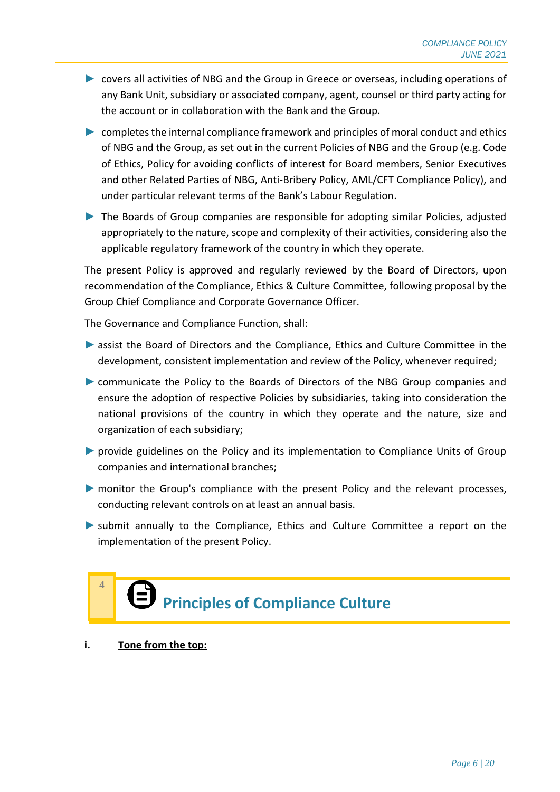- ► covers all activities of NBG and the Group in Greece or overseas, including operations of any Bank Unit, subsidiary or associated company, agent, counsel or third party acting for the account or in collaboration with the Bank and the Group.
- ► completes the internal compliance framework and principles of moral conduct and ethics of NBG and the Group, as set out in the current Policies of NBG and the Group (e.g. Code of Ethics, Policy for avoiding conflicts of interest for Board members, Senior Executives and other Related Parties of NBG, Anti-Bribery Policy, AML/CFT Compliance Policy), and under particular relevant terms of the Bank's Labour Regulation.
- ► The Boards of Group companies are responsible for adopting similar Policies, adjusted appropriately to the nature, scope and complexity of their activities, considering also the applicable regulatory framework of the country in which they operate.

The present Policy is approved and regularly reviewed by the Board of Directors, upon recommendation of the Compliance, Ethics & Culture Committee, following proposal by the Group Chief Compliance and Corporate Governance Officer.

The Governance and Compliance Function, shall:

- ► assist the Board of Directors and the Compliance, Ethics and Culture Committee in the development, consistent implementation and review of the Policy, whenever required;
- ► communicate the Policy to the Boards of Directors of the NBG Group companies and ensure the adoption of respective Policies by subsidiaries, taking into consideration the national provisions of the country in which they operate and the nature, size and organization of each subsidiary;
- ▶ provide guidelines on the Policy and its implementation to Compliance Units of Group companies and international branches;
- ► monitor the Group's compliance with the present Policy and the relevant processes, conducting relevant controls on at least an annual basis.
- ► submit annually to the Compliance, Ethics and Culture Committee a report on the implementation of the present Policy.



**i. Tone from the top:** 

**4**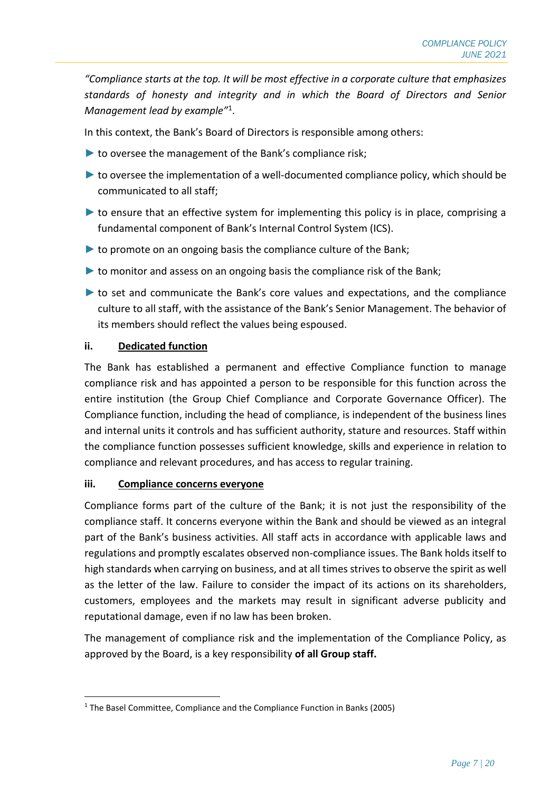*"Compliance starts at the top. It will be most effective in a corporate culture that emphasizes standards of honesty and integrity and in which the Board of Directors and Senior Management lead by example"*<sup>1</sup> .

In this context, the Bank's Board of Directors is responsible among others:

- ► to oversee the management of the Bank's compliance risk;
- ► to oversee the implementation of a well-documented compliance policy, which should be communicated to all staff;
- ► to ensure that an effective system for implementing this policy is in place, comprising a fundamental component of Bank's Internal Control System (ICS).
- $\blacktriangleright$  to promote on an ongoing basis the compliance culture of the Bank;
- ► to monitor and assess on an ongoing basis the compliance risk of the Bank;
- ► to set and communicate the Bank's core values and expectations, and the compliance culture to all staff, with the assistance of the Bank's Senior Management. The behavior of its members should reflect the values being espoused.

#### **ii. Dedicated function**

The Bank has established a permanent and effective Compliance function to manage compliance risk and has appointed a person to be responsible for this function across the entire institution (the Group Chief Compliance and Corporate Governance Officer). The Compliance function, including the head of compliance, is independent of the business lines and internal units it controls and has sufficient authority, stature and resources. Staff within the compliance function possesses sufficient knowledge, skills and experience in relation to compliance and relevant procedures, and has access to regular training.

#### **iii. Compliance concerns everyone**

Compliance forms part of the culture of the Bank; it is not just the responsibility of the compliance staff. It concerns everyone within the Bank and should be viewed as an integral part of the Bank's business activities. All staff acts in accordance with applicable laws and regulations and promptly escalates observed non-compliance issues. The Bank holds itself to high standards when carrying on business, and at all times strives to observe the spirit as well as the letter of the law. Failure to consider the impact of its actions on its shareholders, customers, employees and the markets may result in significant adverse publicity and reputational damage, even if no law has been broken.

The management of compliance risk and the implementation of the Compliance Policy, as approved by the Board, is a key responsibility **of all Group staff.** 

<sup>&</sup>lt;sup>1</sup> The Basel Committee, Compliance and the Compliance Function in Banks (2005)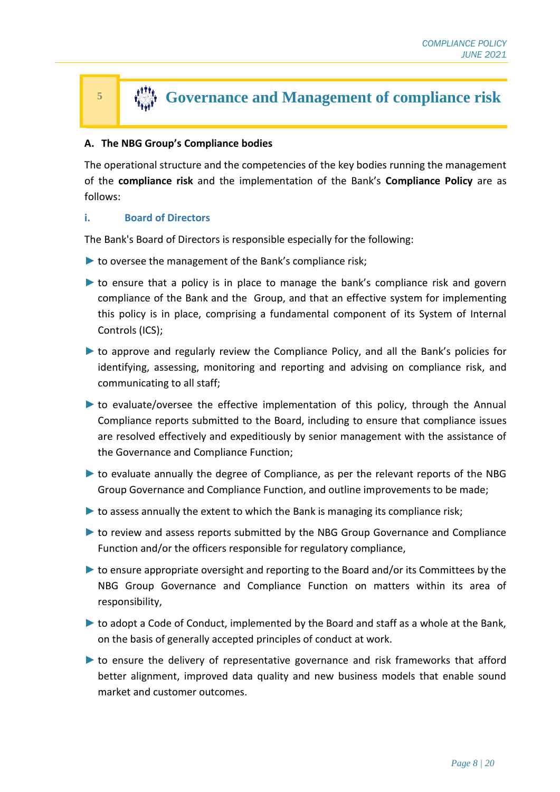# **Governance and Management of compliance risk**

#### **A. The NBG Group's Compliance bodies**

The operational structure and the competencies of the key bodies running the management of the **compliance risk** and the implementation of the Bank's **Compliance Policy** are as follows:

#### **i. Board of Directors**

The Bank's Board of Directors is responsible especially for the following:

- $\blacktriangleright$  to oversee the management of the Bank's compliance risk;
- ► to ensure that a policy is in place to manage the bank's compliance risk and govern compliance of the Bank and the Group, and that an effective system for implementing this policy is in place, comprising a fundamental component of its System of Internal Controls (ICS);
- ► to approve and regularly review the Compliance Policy, and all the Bank's policies for identifying, assessing, monitoring and reporting and advising on compliance risk, and communicating to all staff;
- ► to evaluate/oversee the effective implementation of this policy, through the Annual Compliance reports submitted to the Board, including to ensure that compliance issues are resolved effectively and expeditiously by senior management with the assistance of the Governance and Compliance Function;
- ► to evaluate annually the degree of Compliance, as per the relevant reports of the NBG Group Governance and Compliance Function, and outline improvements to be made;
- $\triangleright$  to assess annually the extent to which the Bank is managing its compliance risk;
- ► to review and assess reports submitted by the NBG Group Governance and Compliance Function and/or the officers responsible for regulatory compliance,
- ► to ensure appropriate oversight and reporting to the Board and/or its Committees by the NBG Group Governance and Compliance Function on matters within its area of responsibility,
- ► to adopt a Code of Conduct, implemented by the Board and staff as a whole at the Bank, on the basis of generally accepted principles of conduct at work.
- ► to ensure the delivery of representative governance and risk frameworks that afford better alignment, improved data quality and new business models that enable sound market and customer outcomes.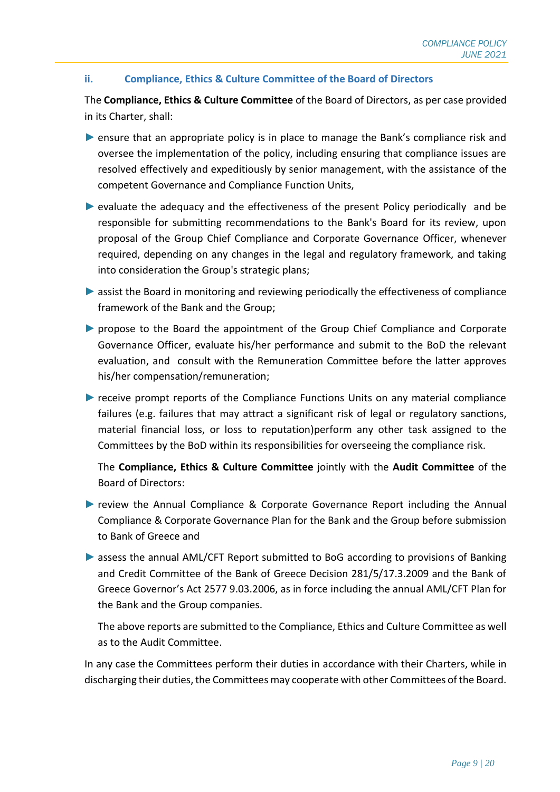#### **ii. Compliance, Ethics & Culture Committee of the Board of Directors**

The **Compliance, Ethics & Culture Committee** of the Board of Directors, as per case provided in its Charter, shall:

- ► ensure that an appropriate policy is in place to manage the Bank's compliance risk and oversee the implementation of the policy, including ensuring that compliance issues are resolved effectively and expeditiously by senior management, with the assistance of the competent Governance and Compliance Function Units,
- ► evaluate the adequacy and the effectiveness of the present Policy periodically and be responsible for submitting recommendations to the Bank's Board for its review, upon proposal of the Group Chief Compliance and Corporate Governance Officer, whenever required, depending on any changes in the legal and regulatory framework, and taking into consideration the Group's strategic plans;
- ► assist the Board in monitoring and reviewing periodically the effectiveness of compliance framework of the Bank and the Group;
- ► propose to the Board the appointment of the Group Chief Compliance and Corporate Governance Officer, evaluate his/her performance and submit to the BoD the relevant evaluation, and consult with the Remuneration Committee before the latter approves his/her compensation/remuneration;
- ► receive prompt reports of the Compliance Functions Units on any material compliance failures (e.g. failures that may attract a significant risk of legal or regulatory sanctions, material financial loss, or loss to reputation)perform any other task assigned to the Committees by the BoD within its responsibilities for overseeing the compliance risk.

The **Compliance, Ethics & Culture Committee** jointly with the **Audit Committee** of the Board of Directors:

- ▶ review the Annual Compliance & Corporate Governance Report including the Annual Compliance & Corporate Governance Plan for the Bank and the Group before submission to Bank of Greece and
- ► assess the annual AML/CFT Report submitted to BoG according to provisions of Banking and Credit Committee of the Bank of Greece Decision 281/5/17.3.2009 and the Bank of Greece Governor's Act 2577 9.03.2006, as in force including the annual AML/CFT Plan for the Bank and the Group companies.

The above reports are submitted to the Compliance, Ethics and Culture Committee as well as to the Audit Committee.

In any case the Committees perform their duties in accordance with their Charters, while in discharging their duties, the Committees may cooperate with other Committees of the Board.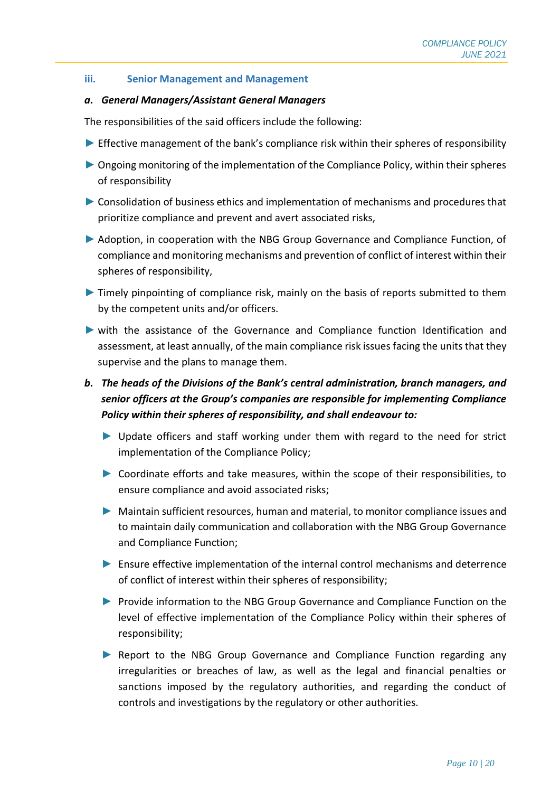#### **iii. Senior Management and Management**

#### *a. General Managers/Assistant General Managers*

The responsibilities of the said officers include the following:

- ► Effective management of the bank's compliance risk within their spheres of responsibility
- ► Ongoing monitoring of the implementation of the Compliance Policy, within their spheres of responsibility
- ► Consolidation of business ethics and implementation of mechanisms and procedures that prioritize compliance and prevent and avert associated risks,
- ► Adoption, in cooperation with the NBG Group Governance and Compliance Function, of compliance and monitoring mechanisms and prevention of conflict of interest within their spheres of responsibility,
- ► Timely pinpointing of compliance risk, mainly on the basis of reports submitted to them by the competent units and/or officers.
- ► with the assistance of the Governance and Compliance function Identification and assessment, at least annually, of the main compliance risk issues facing the units that they supervise and the plans to manage them.

# *b. The heads of the Divisions of the Bank's central administration, branch managers, and senior officers at the Group's companies are responsible for implementing Compliance Policy within their spheres of responsibility, and shall endeavour to:*

- ► Update officers and staff working under them with regard to the need for strict implementation of the Compliance Policy;
- ► Coordinate efforts and take measures, within the scope of their responsibilities, to ensure compliance and avoid associated risks;
- ► Maintain sufficient resources, human and material, to monitor compliance issues and to maintain daily communication and collaboration with the NBG Group Governance and Compliance Function;
- ► Ensure effective implementation of the internal control mechanisms and deterrence of conflict of interest within their spheres of responsibility;
- ► Provide information to the NBG Group Governance and Compliance Function on the level of effective implementation of the Compliance Policy within their spheres of responsibility;
- ► Report to the NBG Group Governance and Compliance Function regarding any irregularities or breaches of law, as well as the legal and financial penalties or sanctions imposed by the regulatory authorities, and regarding the conduct of controls and investigations by the regulatory or other authorities.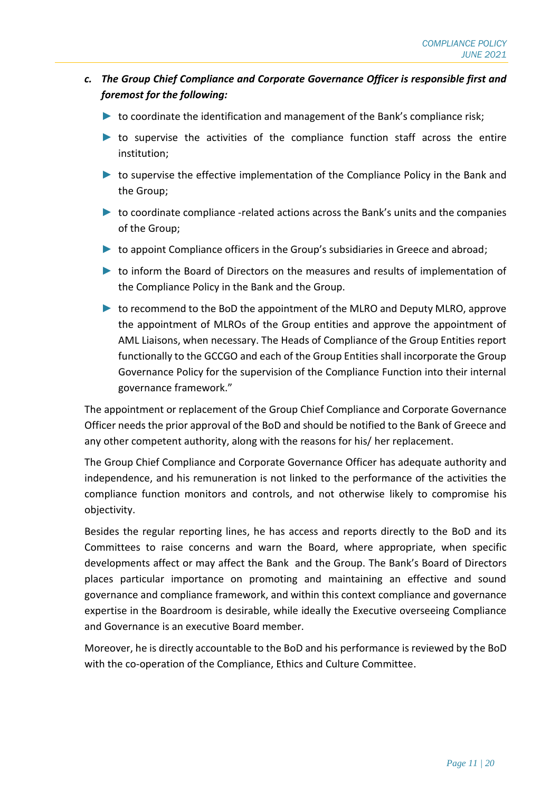- *c. The Group Chief Compliance and Corporate Governance Officer is responsible first and foremost for the following:* 
	- $\blacktriangleright$  to coordinate the identification and management of the Bank's compliance risk;
	- ► to supervise the activities of the compliance function staff across the entire institution;
	- ► to supervise the effective implementation of the Compliance Policy in the Bank and the Group;
	- $\triangleright$  to coordinate compliance -related actions across the Bank's units and the companies of the Group;
	- ► to appoint Compliance officers in the Group's subsidiaries in Greece and abroad;
	- ► to inform the Board of Directors on the measures and results of implementation of the Compliance Policy in the Bank and the Group.
	- ► to recommend to the BoD the appointment of the MLRO and Deputy MLRO, approve the appointment of MLROs of the Group entities and approve the appointment of AML Liaisons, when necessary. The Heads of Compliance of the Group Entities report functionally to the GCCGO and each of the Group Entities shall incorporate the Group Governance Policy for the supervision of the Compliance Function into their internal governance framework."

The appointment or replacement of the Group Chief Compliance and Corporate Governance Officer needs the prior approval of the BoD and should be notified to the Bank of Greece and any other competent authority, along with the reasons for his/ her replacement.

The Group Chief Compliance and Corporate Governance Officer has adequate authority and independence, and his remuneration is not linked to the performance of the activities the compliance function monitors and controls, and not otherwise likely to compromise his objectivity.

Besides the regular reporting lines, he has access and reports directly to the BoD and its Committees to raise concerns and warn the Board, where appropriate, when specific developments affect or may affect the Bank and the Group. The Bank's Board of Directors places particular importance on promoting and maintaining an effective and sound governance and compliance framework, and within this context compliance and governance expertise in the Boardroom is desirable, while ideally the Executive overseeing Compliance and Governance is an executive Board member.

Moreover, he is directly accountable to the BoD and his performance is reviewed by the BoD with the co-operation of the Compliance, Ethics and Culture Committee.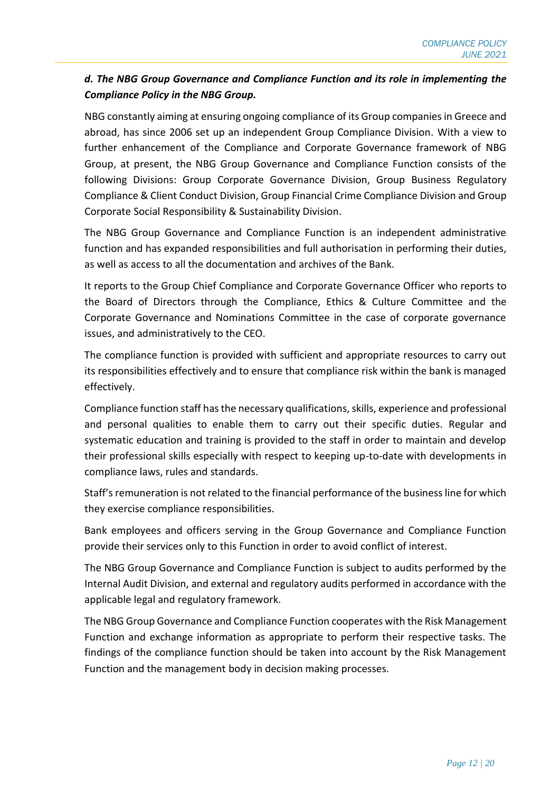### *d. The NBG Group Governance and Compliance Function and its role in implementing the Compliance Policy in the NBG Group.*

NBG constantly aiming at ensuring ongoing compliance of its Group companies in Greece and abroad, has since 2006 set up an independent Group Compliance Division. With a view to further enhancement of the Compliance and Corporate Governance framework of NBG Group, at present, the NBG Group Governance and Compliance Function consists of the following Divisions: Group Corporate Governance Division, Group Business Regulatory Compliance & Client Conduct Division, Group Financial Crime Compliance Division and Group Corporate Social Responsibility & Sustainability Division.

The NBG Group Governance and Compliance Function is an independent administrative function and has expanded responsibilities and full authorisation in performing their duties, as well as access to all the documentation and archives of the Bank.

It reports to the Group Chief Compliance and Corporate Governance Officer who reports to the Board of Directors through the Compliance, Ethics & Culture Committee and the Corporate Governance and Nominations Committee in the case of corporate governance issues, and administratively to the CEO.

The compliance function is provided with sufficient and appropriate resources to carry out its responsibilities effectively and to ensure that compliance risk within the bank is managed effectively.

Compliance function staff has the necessary qualifications, skills, experience and professional and personal qualities to enable them to carry out their specific duties. Regular and systematic education and training is provided to the staff in order to maintain and develop their professional skills especially with respect to keeping up-to-date with developments in compliance laws, rules and standards.

Staff's remuneration is not related to the financial performance of the business line for which they exercise compliance responsibilities.

Bank employees and officers serving in the Group Governance and Compliance Function provide their services only to this Function in order to avoid conflict of interest.

The NBG Group Governance and Compliance Function is subject to audits performed by the Internal Audit Division, and external and regulatory audits performed in accordance with the applicable legal and regulatory framework.

The NBG Group Governance and Compliance Function cooperates with the Risk Management Function and exchange information as appropriate to perform their respective tasks. The findings of the compliance function should be taken into account by the Risk Management Function and the management body in decision making processes.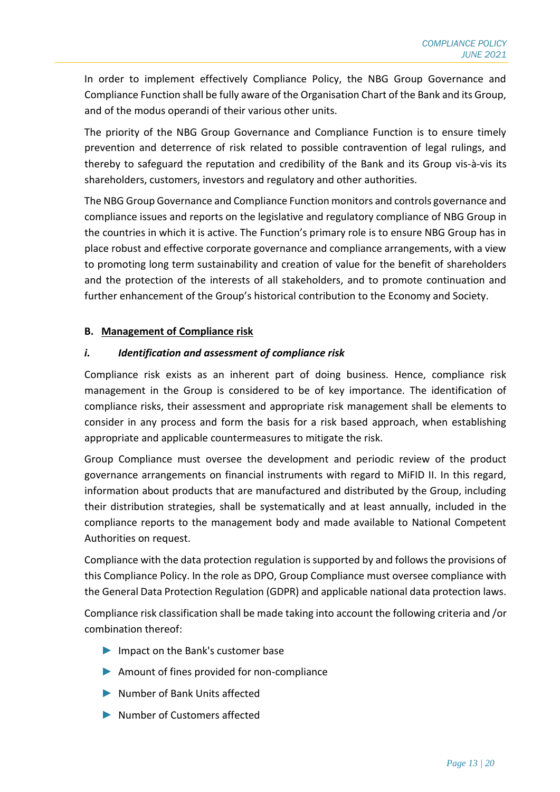In order to implement effectively Compliance Policy, the NBG Group Governance and Compliance Function shall be fully aware of the Organisation Chart of the Bank and its Group, and of the modus operandi of their various other units.

The priority of the NBG Group Governance and Compliance Function is to ensure timely prevention and deterrence of risk related to possible contravention of legal rulings, and thereby to safeguard the reputation and credibility of the Bank and its Group vis-à-vis its shareholders, customers, investors and regulatory and other authorities.

The NBG Group Governance and Compliance Function monitors and controls governance and compliance issues and reports on the legislative and regulatory compliance of NBG Group in the countries in which it is active. The Function's primary role is to ensure NBG Group has in place robust and effective corporate governance and compliance arrangements, with a view to promoting long term sustainability and creation of value for the benefit of shareholders and the protection of the interests of all stakeholders, and to promote continuation and further enhancement of the Group's historical contribution to the Economy and Society.

#### **B. Management of Compliance risk**

#### *i. Identification and assessment of compliance risk*

Compliance risk exists as an inherent part of doing business. Hence, compliance risk management in the Group is considered to be of key importance. The identification of compliance risks, their assessment and appropriate risk management shall be elements to consider in any process and form the basis for a risk based approach, when establishing appropriate and applicable countermeasures to mitigate the risk.

Group Compliance must oversee the development and periodic review of the product governance arrangements on financial instruments with regard to MiFID II. In this regard, information about products that are manufactured and distributed by the Group, including their distribution strategies, shall be systematically and at least annually, included in the compliance reports to the management body and made available to National Competent Authorities on request.

Compliance with the data protection regulation is supported by and follows the provisions of this Compliance Policy. In the role as DPO, Group Compliance must oversee compliance with the General Data Protection Regulation (GDPR) and applicable national data protection laws.

Compliance risk classification shall be made taking into account the following criteria and /or combination thereof:

- ► Impact on the Bank's customer base
- ► Amount of fines provided for non-compliance
- ► Number of Bank Units affected
- ► Number of Customers affected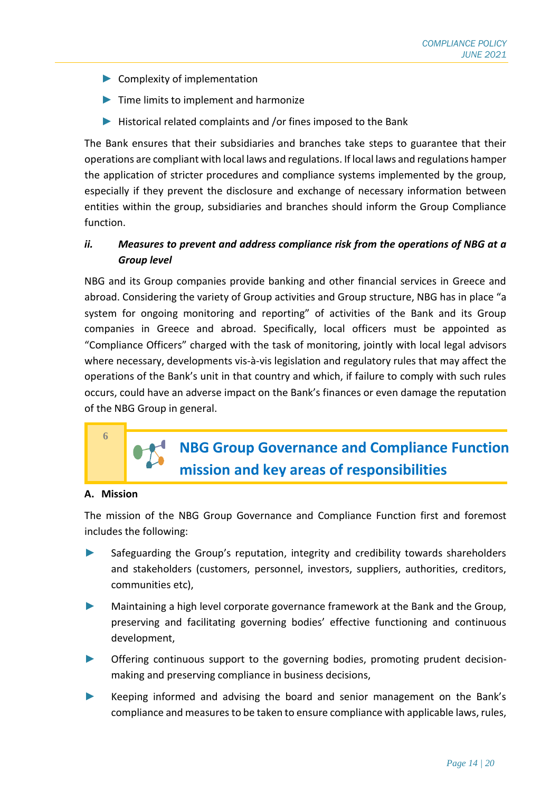- $\blacktriangleright$  Complexity of implementation
- ► Time limits to implement and harmonize
- ► Historical related complaints and /or fines imposed to the Bank

The Bank ensures that their subsidiaries and branches take steps to guarantee that their operations are compliant with local laws and regulations. If local laws and regulations hamper the application of stricter procedures and compliance systems implemented by the group, especially if they prevent the disclosure and exchange of necessary information between entities within the group, subsidiaries and branches should inform the Group Compliance function.

## *ii. Measures to prevent and address compliance risk from the operations of NBG at a Group level*

NBG and its Group companies provide banking and other financial services in Greece and abroad. Considering the variety of Group activities and Group structure, NBG has in place "a system for ongoing monitoring and reporting" of activities of the Bank and its Group companies in Greece and abroad. Specifically, local officers must be appointed as "Compliance Officers" charged with the task of monitoring, jointly with local legal advisors where necessary, developments vis-à-vis legislation and regulatory rules that may affect the operations of the Bank's unit in that country and which, if failure to comply with such rules occurs, could have an adverse impact on the Bank's finances or even damage the reputation of the NBG Group in general.

# **6**

# **NBG Group Governance and Compliance Function mission and key areas of responsibilities**

#### **A. Mission**

The mission of the NBG Group Governance and Compliance Function first and foremost includes the following:

- ► Safeguarding the Group's reputation, integrity and credibility towards shareholders and stakeholders (customers, personnel, investors, suppliers, authorities, creditors, communities etc),
- ► Maintaining a high level corporate governance framework at the Bank and the Group, preserving and facilitating governing bodies' effective functioning and continuous development,
- Offering continuous support to the governing bodies, promoting prudent decisionmaking and preserving compliance in business decisions,
- ► Keeping informed and advising the board and senior management on the Bank's compliance and measures to be taken to ensure compliance with applicable laws, rules,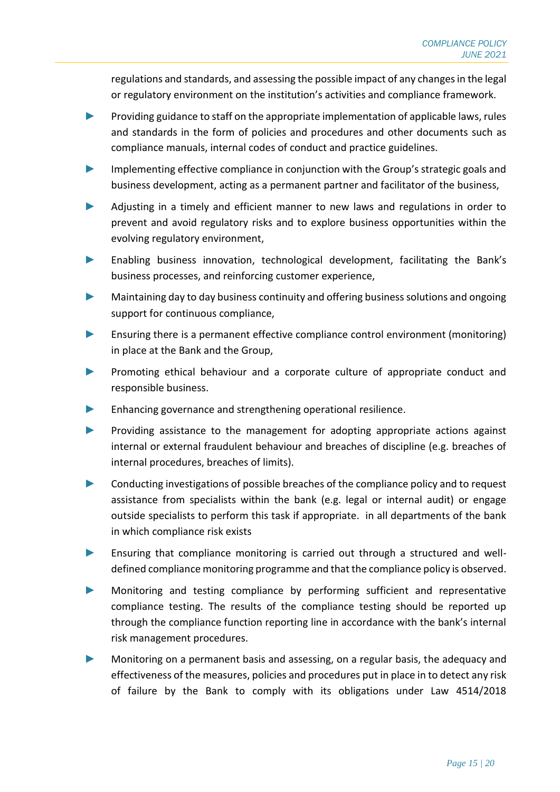regulations and standards, and assessing the possible impact of any changes in the legal or regulatory environment on the institution's activities and compliance framework.

- Providing guidance to staff on the appropriate implementation of applicable laws, rules and standards in the form of policies and procedures and other documents such as compliance manuals, internal codes of conduct and practice guidelines.
- Implementing effective compliance in conjunction with the Group's strategic goals and business development, acting as a permanent partner and facilitator of the business,
- ► Adjusting in a timely and efficient manner to new laws and regulations in order to prevent and avoid regulatory risks and to explore business opportunities within the evolving regulatory environment,
- Enabling business innovation, technological development, facilitating the Bank's business processes, and reinforcing customer experience,
- Maintaining day to day business continuity and offering business solutions and ongoing support for continuous compliance,
- ► Ensuring there is a permanent effective compliance control environment (monitoring) in place at the Bank and the Group,
- Promoting ethical behaviour and a corporate culture of appropriate conduct and responsible business.
- ► Enhancing governance and strengthening operational resilience.
- Providing assistance to the management for adopting appropriate actions against internal or external fraudulent behaviour and breaches of discipline (e.g. breaches of internal procedures, breaches of limits).
- ► Conducting investigations of possible breaches of the compliance policy and to request assistance from specialists within the bank (e.g. legal or internal audit) or engage outside specialists to perform this task if appropriate. in all departments of the bank in which compliance risk exists
- ► Ensuring that compliance monitoring is carried out through a structured and welldefined compliance monitoring programme and that the compliance policy is observed.
- ► Monitoring and testing compliance by performing sufficient and representative compliance testing. The results of the compliance testing should be reported up through the compliance function reporting line in accordance with the bank's internal risk management procedures.
- Monitoring on a permanent basis and assessing, on a regular basis, the adequacy and effectiveness of the measures, policies and procedures put in place in to detect any risk of failure by the Bank to comply with its obligations under Law 4514/2018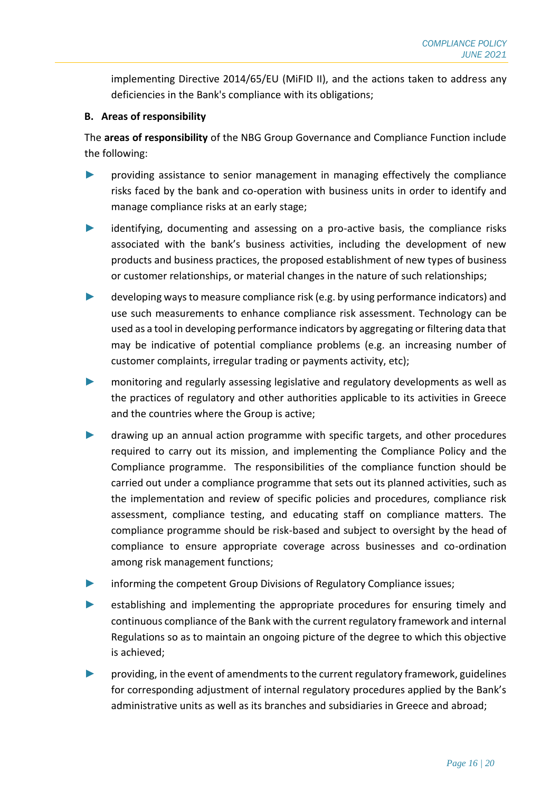implementing Directive 2014/65/EU (MiFID II), and the actions taken to address any deficiencies in the Bank's compliance with its obligations;

#### **B. Areas of responsibility**

The **areas of responsibility** of the NBG Group Governance and Compliance Function include the following:

- ► providing assistance to senior management in managing effectively the compliance risks faced by the bank and co-operation with business units in order to identify and manage compliance risks at an early stage;
- identifying, documenting and assessing on a pro-active basis, the compliance risks associated with the bank's business activities, including the development of new products and business practices, the proposed establishment of new types of business or customer relationships, or material changes in the nature of such relationships;
- developing ways to measure compliance risk (e.g. by using performance indicators) and use such measurements to enhance compliance risk assessment. Technology can be used as a tool in developing performance indicators by aggregating or filtering data that may be indicative of potential compliance problems (e.g. an increasing number of customer complaints, irregular trading or payments activity, etc);
- monitoring and regularly assessing legislative and regulatory developments as well as the practices of regulatory and other authorities applicable to its activities in Greece and the countries where the Group is active;
- drawing up an annual action programme with specific targets, and other procedures required to carry out its mission, and implementing the Compliance Policy and the Compliance programme. The responsibilities of the compliance function should be carried out under a compliance programme that sets out its planned activities, such as the implementation and review of specific policies and procedures, compliance risk assessment, compliance testing, and educating staff on compliance matters. The compliance programme should be risk-based and subject to oversight by the head of compliance to ensure appropriate coverage across businesses and co-ordination among risk management functions;
- informing the competent Group Divisions of Regulatory Compliance issues;
- establishing and implementing the appropriate procedures for ensuring timely and continuous compliance of the Bank with the current regulatory framework and internal Regulations so as to maintain an ongoing picture of the degree to which this objective is achieved;
- ► providing, in the event of amendments to the current regulatory framework, guidelines for corresponding adjustment of internal regulatory procedures applied by the Bank's administrative units as well as its branches and subsidiaries in Greece and abroad;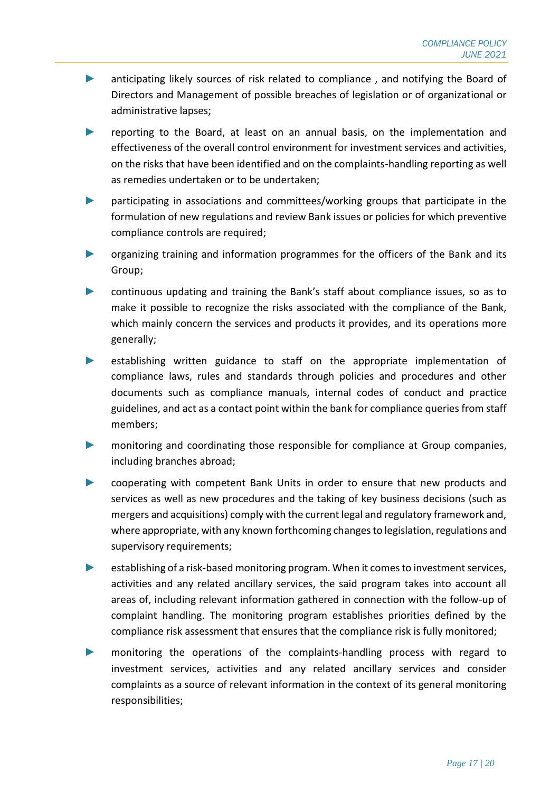- ► anticipating likely sources of risk related to compliance , and notifying the Board of Directors and Management of possible breaches of legislation or of organizational or administrative lapses;
- reporting to the Board, at least on an annual basis, on the implementation and effectiveness of the overall control environment for investment services and activities, on the risks that have been identified and on the complaints-handling reporting as well as remedies undertaken or to be undertaken;
- ► participating in associations and committees/working groups that participate in the formulation of new regulations and review Bank issues or policies for which preventive compliance controls are required;
- ► organizing training and information programmes for the officers of the Bank and its Group;
- ► continuous updating and training the Bank's staff about compliance issues, so as to make it possible to recognize the risks associated with the compliance of the Bank, which mainly concern the services and products it provides, and its operations more generally;
- establishing written guidance to staff on the appropriate implementation of compliance laws, rules and standards through policies and procedures and other documents such as compliance manuals, internal codes of conduct and practice guidelines, and act as a contact point within the bank for compliance queries from staff members;
- ► monitoring and coordinating those responsible for compliance at Group companies, including branches abroad;
- ► cooperating with competent Bank Units in order to ensure that new products and services as well as new procedures and the taking of key business decisions (such as mergers and acquisitions) comply with the current legal and regulatory framework and, where appropriate, with any known forthcoming changes to legislation, regulations and supervisory requirements;
- ► establishing of a risk-based monitoring program. When it comes to investment services, activities and any related ancillary services, the said program takes into account all areas of, including relevant information gathered in connection with the follow-up of complaint handling. The monitoring program establishes priorities defined by the compliance risk assessment that ensures that the compliance risk is fully monitored;
- ► monitoring the operations of the complaints-handling process with regard to investment services, activities and any related ancillary services and consider complaints as a source of relevant information in the context of its general monitoring responsibilities;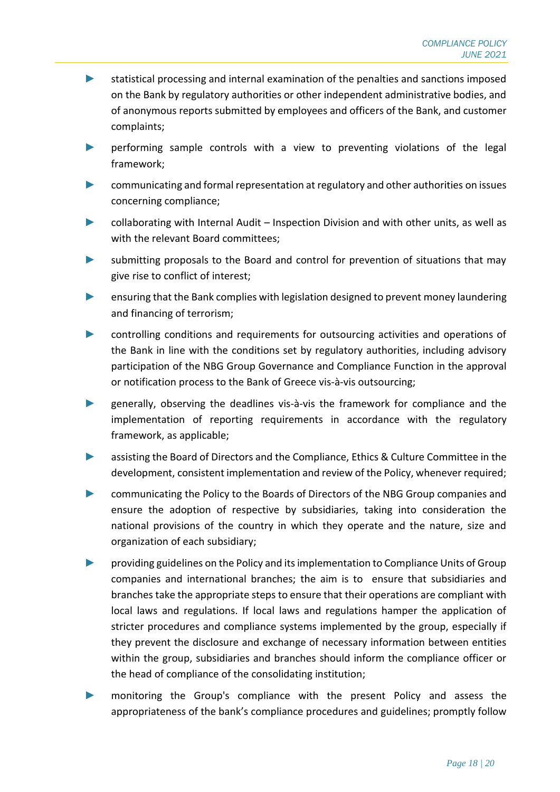- ► statistical processing and internal examination of the penalties and sanctions imposed on the Bank by regulatory authorities or other independent administrative bodies, and of anonymous reports submitted by employees and officers of the Bank, and customer complaints;
- ► performing sample controls with a view to preventing violations of the legal framework;
- ► communicating and formal representation at regulatory and other authorities on issues concerning compliance;
- ► collaborating with Internal Audit Inspection Division and with other units, as well as with the relevant Board committees;
- submitting proposals to the Board and control for prevention of situations that may give rise to conflict of interest;
- ensuring that the Bank complies with legislation designed to prevent money laundering and financing of terrorism;
- ► controlling conditions and requirements for outsourcing activities and operations of the Bank in line with the conditions set by regulatory authorities, including advisory participation of the NBG Group Governance and Compliance Function in the approval or notification process to the Bank of Greece vis-à-vis outsourcing;
- ► generally, observing the deadlines vis-à-vis the framework for compliance and the implementation of reporting requirements in accordance with the regulatory framework, as applicable;
- ► assisting the Board of Directors and the Compliance, Ethics & Culture Committee in the development, consistent implementation and review of the Policy, whenever required;
- communicating the Policy to the Boards of Directors of the NBG Group companies and ensure the adoption of respective by subsidiaries, taking into consideration the national provisions of the country in which they operate and the nature, size and organization of each subsidiary;
- ► providing guidelines on the Policy and its implementation to Compliance Units of Group companies and international branches; the aim is to ensure that subsidiaries and branches take the appropriate steps to ensure that their operations are compliant with local laws and regulations. If local laws and regulations hamper the application of stricter procedures and compliance systems implemented by the group, especially if they prevent the disclosure and exchange of necessary information between entities within the group, subsidiaries and branches should inform the compliance officer or the head of compliance of the consolidating institution;
- ► monitoring the Group's compliance with the present Policy and assess the appropriateness of the bank's compliance procedures and guidelines; promptly follow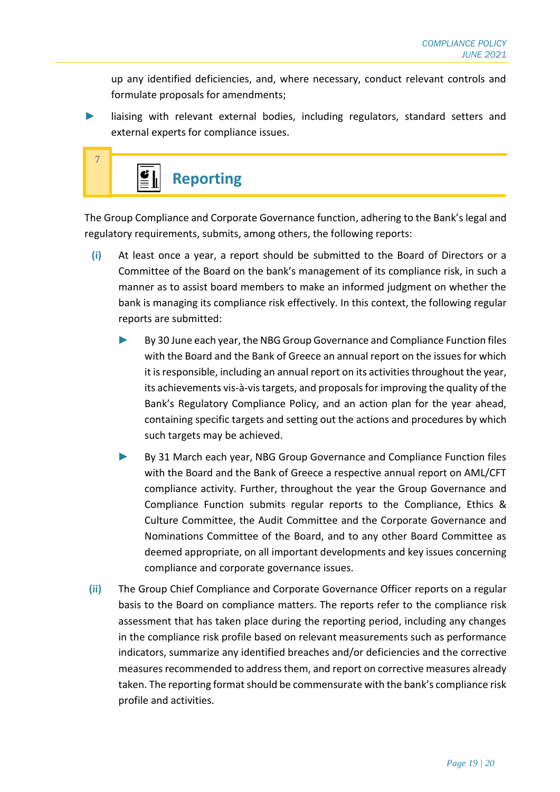up any identified deficiencies, and, where necessary, conduct relevant controls and formulate proposals for amendments;

liaising with relevant external bodies, including regulators, standard setters and external experts for compliance issues.



The Group Compliance and Corporate Governance function, adhering to the Bank's legal and regulatory requirements, submits, among others, the following reports:

- **(i)** At least once a year, a report should be submitted to the Board of Directors or a Committee of the Board on the bank's management of its compliance risk, in such a manner as to assist board members to make an informed judgment on whether the bank is managing its compliance risk effectively. In this context, the following regular reports are submitted:
	- By 30 June each year, the NBG Group Governance and Compliance Function files with the Board and the Bank of Greece an annual report on the issues for which it is responsible, including an annual report on its activities throughout the year, its achievements vis-à-vis targets, and proposals for improving the quality of the Bank's Regulatory Compliance Policy, and an action plan for the year ahead, containing specific targets and setting out the actions and procedures by which such targets may be achieved.
	- By 31 March each year, NBG Group Governance and Compliance Function files with the Board and the Bank of Greece a respective annual report on AML/CFT compliance activity. Further, throughout the year the Group Governance and Compliance Function submits regular reports to the Compliance, Ethics & Culture Committee, the Audit Committee and the Corporate Governance and Nominations Committee of the Board, and to any other Board Committee as deemed appropriate, on all important developments and key issues concerning compliance and corporate governance issues.
- **(ii)** The Group Chief Compliance and Corporate Governance Officer reports on a regular basis to the Board on compliance matters. The reports refer to the compliance risk assessment that has taken place during the reporting period, including any changes in the compliance risk profile based on relevant measurements such as performance indicators, summarize any identified breaches and/or deficiencies and the corrective measures recommended to address them, and report on corrective measures already taken. The reporting format should be commensurate with the bank's compliance risk profile and activities.